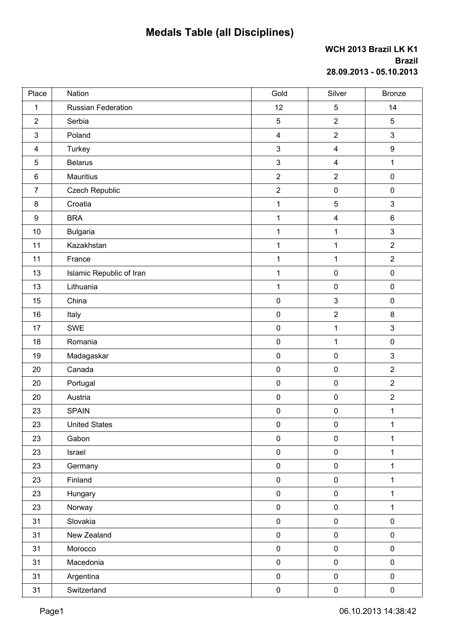## **Medals Table (all Disciplines)**

## **WCH 2013 Brazil LK K1 Brazil 28.09.2013 - 05.10.2013**

| Place           | Nation                   | Gold                    | Silver                  | <b>Bronze</b>    |
|-----------------|--------------------------|-------------------------|-------------------------|------------------|
| $\mathbf 1$     | Russian Federation       | 12                      | $\overline{5}$          | 14               |
| $\overline{2}$  | Serbia                   | 5                       | $\mathbf 2$             | 5                |
| $\mathbf{3}$    | Poland                   | $\overline{\mathbf{4}}$ | $\overline{2}$          | 3                |
| 4               | Turkey                   | $\mathfrak{S}$          | $\overline{\mathbf{4}}$ | $\boldsymbol{9}$ |
| 5               | <b>Belarus</b>           | $\mathfrak{S}$          | $\overline{4}$          | $\mathbf{1}$     |
| $6\phantom{1}6$ | Mauritius                | $\overline{2}$          | $\mathbf 2$             | $\pmb{0}$        |
| $\overline{7}$  | <b>Czech Republic</b>    | $\mathbf 2$             | $\pmb{0}$               | $\pmb{0}$        |
| 8               | Croatia                  | $\mathbf{1}$            | $\overline{5}$          | 3                |
| 9               | <b>BRA</b>               | $\mathbf{1}$            | $\overline{\mathbf{4}}$ | $\,6\,$          |
| 10              | <b>Bulgaria</b>          | $\mathbf{1}$            | 1                       | $\mathfrak{S}$   |
| 11              | Kazakhstan               | $\mathbf{1}$            | $\mathbf 1$             | $\overline{2}$   |
| 11              | France                   | $\mathbf 1$             | $\mathbf 1$             | $\overline{2}$   |
| 13              | Islamic Republic of Iran | $\mathbf 1$             | $\pmb{0}$               | $\pmb{0}$        |
| 13              | Lithuania                | $\mathbf{1}$            | $\pmb{0}$               | $\pmb{0}$        |
| 15              | China                    | $\pmb{0}$               | $\mathbf{3}$            | $\pmb{0}$        |
| 16              | Italy                    | $\pmb{0}$               | $\mathbf 2$             | $\bf 8$          |
| 17              | SWE                      | $\pmb{0}$               | $\mathbf{1}$            | 3                |
| 18              | Romania                  | $\pmb{0}$               | $\mathbf{1}$            | $\pmb{0}$        |
| 19              | Madagaskar               | $\pmb{0}$               | $\pmb{0}$               | 3                |
| 20              | Canada                   | $\pmb{0}$               | $\pmb{0}$               | $\overline{2}$   |
| 20              | Portugal                 | $\pmb{0}$               | $\pmb{0}$               | $\overline{2}$   |
| 20              | Austria                  | $\pmb{0}$               | $\pmb{0}$               | $\overline{2}$   |
| 23              | <b>SPAIN</b>             | $\pmb{0}$               | $\pmb{0}$               | $\mathbf{1}$     |
| 23              | <b>United States</b>     | $\pmb{0}$               | $\pmb{0}$               | $\mathbf 1$      |
| 23              | Gabon                    | $\mathsf{O}\xspace$     | $\pmb{0}$               | $\mathbf 1$      |
| 23              | Israel                   | $\pmb{0}$               | $\pmb{0}$               | 1                |
| 23              | Germany                  | $\pmb{0}$               | $\pmb{0}$               | $\mathbf{1}$     |
| 23              | Finland                  | $\pmb{0}$               | $\pmb{0}$               | $\mathbf 1$      |
| 23              | Hungary                  | $\pmb{0}$               | $\pmb{0}$               | $\mathbf{1}$     |
| 23              | Norway                   | $\pmb{0}$               | $\pmb{0}$               | $\mathbf{1}$     |
| 31              | Slovakia                 | $\pmb{0}$               | $\pmb{0}$               | $\pmb{0}$        |
| 31              | New Zealand              | $\pmb{0}$               | $\pmb{0}$               | $\pmb{0}$        |
| 31              | Morocco                  | $\pmb{0}$               | $\pmb{0}$               | $\pmb{0}$        |
| 31              | Macedonia                | $\pmb{0}$               | $\pmb{0}$               | $\pmb{0}$        |
| 31              | Argentina                | $\pmb{0}$               | $\pmb{0}$               | $\pmb{0}$        |
| 31              | Switzerland              | $\pmb{0}$               | $\pmb{0}$               | $\pmb{0}$        |